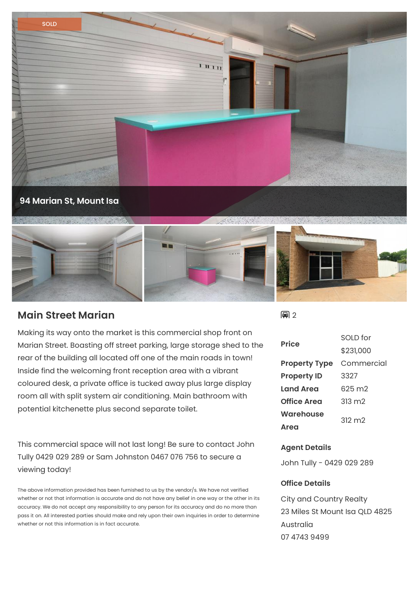

## **Main Street Marian**

Making its way onto the market is this commercial shop front on Marian Street. Boasting off street parking, large storage shed to the rear of the building all located off one of the main roads in town! Inside find the welcoming front reception area with a vibrant coloured desk, a private office is tucked away plus large display room all with split system air conditioning. Main bathroom with potential kitchenette plus second separate toilet.

This commercial space will not last long! Be sure to contact John Tully 0429 029 289 or Sam Johnston 0467 076 756 to secure a viewing today!

The above information provided has been furnished to us by the vendor/s. We have not verified whether or not that information is accurate and do not have any belief in one way or the other in its accuracy. We do not accept any responsibility to any person for its accuracy and do no more than pass it on. All interested parties should make and rely upon their own inquiries in order to determine whether or not this information is in fact accurate.

日?

| <b>Price</b>         | SOLD for        |
|----------------------|-----------------|
|                      | \$231,000       |
| <b>Property Type</b> | Commercial      |
| <b>Property ID</b>   | 3327            |
| Land Area            | 625 m2          |
| <b>Office Area</b>   | $313 \text{ m}$ |
| <b>Warehouse</b>     | $312 \text{ m}$ |
| Area                 |                 |

## **Agent Details**

John Tully - 0429 029 289

## **Office Details**

City and Country Realty 23 Miles St Mount Isa QLD 4825 Australia 07 4743 9499